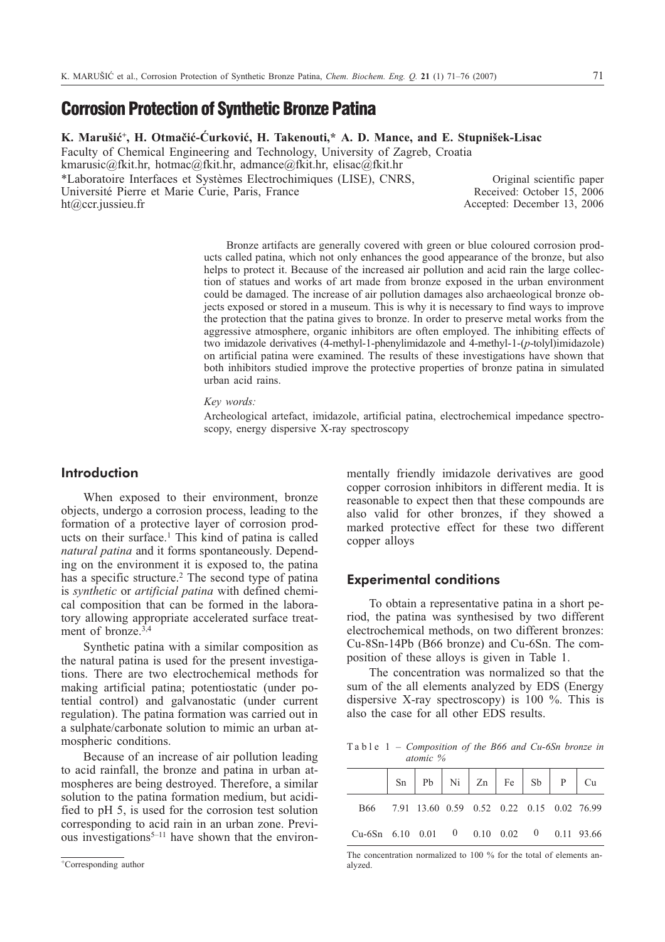# **Corrosion Protection of Synthetic Bronze Patina**

K. Marušić<sup>+</sup>, H. Otmačić-Ćurković, H. Takenouti,\* A. D. Mance, and E. Stupnišek-Lisac

Faculty of Chemical Engineering and Technology, University of Zagreb, Croatia kmarusic@fkit.hr, hotmac@fkit.hr, admance@fkit.hr, elisac@fkit.hr

\*Laboratoire Interfaces et Systèmes Electrochimiques (LISE), CNRS, Université Pierre et Marie Curie, Paris, France ht@ccr.jussieu.fr

Original scientific paper Received: October 15, 2006 Accepted: December 13, 2006

Bronze artifacts are generally covered with green or blue coloured corrosion products called patina, which not only enhances the good appearance of the bronze, but also helps to protect it. Because of the increased air pollution and acid rain the large collection of statues and works of art made from bronze exposed in the urban environment could be damaged. The increase of air pollution damages also archaeological bronze objects exposed or stored in a museum. This is why it is necessary to find ways to improve the protection that the patina gives to bronze. In order to preserve metal works from the aggressive atmosphere, organic inhibitors are often employed. The inhibiting effects of two imidazole derivatives (4-methyl-1-phenylimidazole and 4-methyl-1-(*p*-tolyl)imidazole) on artificial patina were examined. The results of these investigations have shown that both inhibitors studied improve the protective properties of bronze patina in simulated urban acid rains.

*Key words:*

Archeological artefact, imidazole, artificial patina, electrochemical impedance spectroscopy, energy dispersive X-ray spectroscopy

# **Introduction**

When exposed to their environment, bronze objects, undergo a corrosion process, leading to the formation of a protective layer of corrosion products on their surface.<sup>1</sup> This kind of patina is called *natural patina* and it forms spontaneously. Depending on the environment it is exposed to, the patina has a specific structure.<sup>2</sup> The second type of patina is *synthetic* or *artificial patina* with defined chemical composition that can be formed in the laboratory allowing appropriate accelerated surface treatment of bronze.<sup>3,4</sup>

Synthetic patina with a similar composition as the natural patina is used for the present investigations. There are two electrochemical methods for making artificial patina; potentiostatic (under potential control) and galvanostatic (under current regulation). The patina formation was carried out in a sulphate/carbonate solution to mimic an urban atmospheric conditions.

Because of an increase of air pollution leading to acid rainfall, the bronze and patina in urban atmospheres are being destroyed. Therefore, a similar solution to the patina formation medium, but acidified to pH 5, is used for the corrosion test solution corresponding to acid rain in an urban zone. Previous investigations<sup>5–11</sup> have shown that the environmentally friendly imidazole derivatives are good copper corrosion inhibitors in different media. It is reasonable to expect then that these compounds are also valid for other bronzes, if they showed a marked protective effect for these two different copper alloys

## **Experimental conditions**

To obtain a representative patina in a short period, the patina was synthesised by two different electrochemical methods, on two different bronzes: Cu-8Sn-14Pb (B66 bronze) and Cu-6Sn. The composition of these alloys is given in Table 1.

The concentration was normalized so that the sum of the all elements analyzed by EDS (Energy dispersive X-ray spectroscopy) is 100 %. This is also the case for all other EDS results.

Table 1 – *Composition of the B66 and Cu-6Sn bronze in atomic %*

| B66 7.91 13.60 0.59 0.52 0.22 0.15 0.02 76.99       |  |  |  |  |
|-----------------------------------------------------|--|--|--|--|
| Cu-6Sn $6.10$ $0.01$ 0 $0.10$ $0.02$ 0 $0.11$ 93.66 |  |  |  |  |

The concentration normalized to 100 % for the total of elements analyzed.

<sup>+</sup>Corresponding author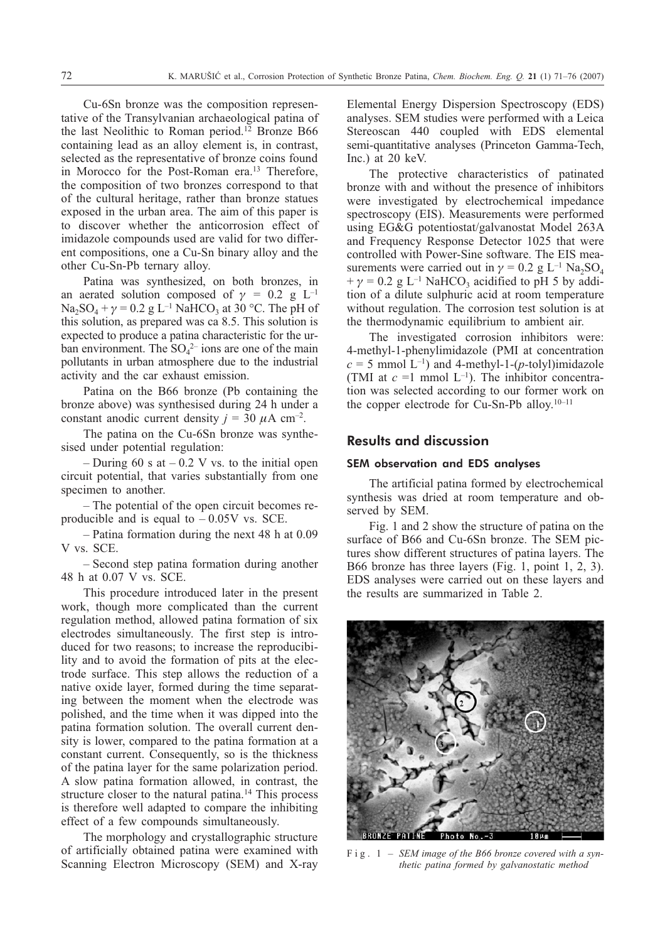Cu-6Sn bronze was the composition representative of the Transylvanian archaeological patina of the last Neolithic to Roman period.<sup>12</sup> Bronze B66 containing lead as an alloy element is, in contrast, selected as the representative of bronze coins found in Morocco for the Post-Roman era.<sup>13</sup> Therefore, the composition of two bronzes correspond to that of the cultural heritage, rather than bronze statues exposed in the urban area. The aim of this paper is to discover whether the anticorrosion effect of imidazole compounds used are valid for two different compositions, one a Cu-Sn binary alloy and the other Cu-Sn-Pb ternary alloy.

Patina was synthesized, on both bronzes, in an aerated solution composed of  $\gamma = 0.2$  g L<sup>-1</sup>  $Na_2SO_4 + \gamma = 0.2$  g L<sup>-1</sup> NaHCO<sub>3</sub> at 30 °C. The pH of this solution, as prepared was ca 8.5. This solution is expected to produce a patina characteristic for the urban environment. The  $SO_4^2$  ions are one of the main pollutants in urban atmosphere due to the industrial activity and the car exhaust emission.

Patina on the B66 bronze (Pb containing the bronze above) was synthesised during 24h under a constant anodic current density  $j = 30 \mu A \text{ cm}^{-2}$ .

The patina on the Cu-6Sn bronze was synthesised under potential regulation:

– During 60 s at  $-0.2$  V vs. to the initial open circuit potential, that varies substantially from one specimen to another.

– The potential of the open circuit becomes reproducible and is equal to  $-0.05V$  vs. SCE.

– Patina formation during the next 48 h at 0.09 V vs. SCE.

– Second step patina formation during another 48 h at 0.07 V vs. SCE.

This procedure introduced later in the present work, though more complicated than the current regulation method, allowed patina formation of six electrodes simultaneously. The first step is introduced for two reasons; to increase the reproducibility and to avoid the formation of pits at the electrode surface. This step allows the reduction of a native oxide layer, formed during the time separating between the moment when the electrode was polished, and the time when it was dipped into the patina formation solution. The overall current density is lower, compared to the patina formation at a constant current. Consequently, so is the thickness of the patina layer for the same polarization period. A slow patina formation allowed, in contrast, the structure closer to the natural patina.<sup>14</sup> This process is therefore well adapted to compare the inhibiting effect of a few compounds simultaneously.

The morphology and crystallographic structure of artificially obtained patina were examined with Scanning Electron Microscopy (SEM) and X-ray Elemental Energy Dispersion Spectroscopy (EDS) analyses. SEM studies were performed with a Leica Stereoscan 440 coupled with EDS elemental semi-quantitative analyses (Princeton Gamma-Tech, Inc.) at 20 keV.

The protective characteristics of patinated bronze with and without the presence of inhibitors were investigated by electrochemical impedance spectroscopy (EIS). Measurements were performed using EG&G potentiostat/galvanostat Model 263A and Frequency Response Detector 1025 that were controlled with Power-Sine software. The EIS measurements were carried out in  $\gamma = 0.2$  g L<sup>-1</sup> Na<sub>2</sub>SO<sub>4</sub>  $+\gamma = 0.2$  g L<sup>-1</sup> NaHCO<sub>3</sub> acidified to pH 5 by addition of a dilute sulphuric acid at room temperature without regulation. The corrosion test solution is at the thermodynamic equilibrium to ambient air.

The investigated corrosion inhibitors were: 4-methyl-1-phenylimidazole (PMI at concentration  $c = 5$  mmol L<sup>-1</sup>) and 4-methyl-1-( $p$ -tolyl)imidazole (TMI at  $c =1$  mmol  $L^{-1}$ ). The inhibitor concentration was selected according to our former work on the copper electrode for Cu-Sn-Pb alloy.<sup>10–11</sup>

## **Results and discussion**

#### SEM observation and EDS analyses

The artificial patina formed by electrochemical synthesis was dried at room temperature and observed by SEM.

Fig. 1 and 2 show the structure of patina on the surface of B66 and Cu-6Sn bronze. The SEM pictures show different structures of patina layers. The B66 bronze has three layers (Fig. 1, point 1, 2, 3). EDS analyses were carried out on these layers and the results are summarized in Table 2.



Fig. 1 – *SEM image of the B66 bronze covered with a synthetic patina formed by galvanostatic method*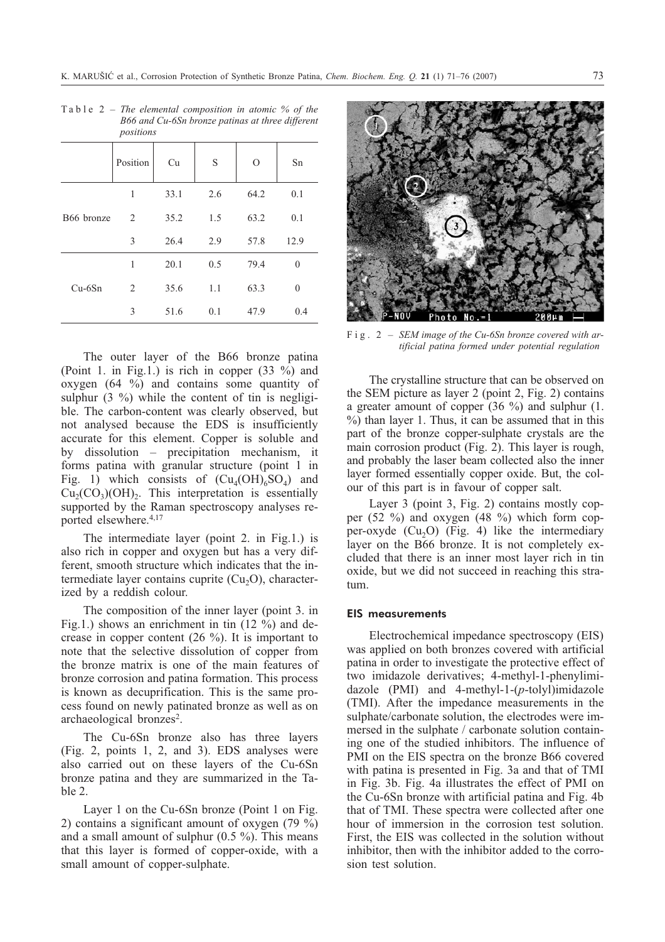|            | Position | Cu   | S   | $\Omega$ | Sn               |
|------------|----------|------|-----|----------|------------------|
| B66 bronze | 1        | 33.1 | 2.6 | 64.2     | 0.1              |
|            | 2        | 35.2 | 1.5 | 63.2     | 0.1              |
|            | 3        | 26.4 | 2.9 | 57.8     | 12.9             |
| $Cu-6Sn$   | 1        | 20.1 | 0.5 | 79.4     | $\boldsymbol{0}$ |
|            | 2        | 35.6 | 1.1 | 63.3     | $\mathbf{0}$     |
|            | 3        | 51.6 | 0.1 | 47.9     | 0.4              |

Table 2 – *The elemental composition in atomic % of the B66 and Cu-6Sn bronze patinas at three different positions*

The outer layer of the B66 bronze patina (Point 1. in Fig.1.) is rich in copper (33 %) and oxygen (64%) and contains some quantity of sulphur  $(3 \%)$  while the content of tin is negligible. The carbon-content was clearly observed, but not analysed because the EDS is insufficiently accurate for this element. Copper is soluble and by dissolution – precipitation mechanism, it forms patina with granular structure (point 1 in Fig. 1) which consists of  $(Cu_4(OH)_6SO_4)$  and  $Cu<sub>2</sub>(CO<sub>3</sub>)(OH)<sub>2</sub>$ . This interpretation is essentially supported by the Raman spectroscopy analyses reported elsewhere.4,17

The intermediate layer (point 2. in Fig.1.) is also rich in copper and oxygen but has a very different, smooth structure which indicates that the intermediate layer contains cuprite  $(Cu<sub>2</sub>O)$ , characterized by a reddish colour.

The composition of the inner layer (point 3. in Fig.1.) shows an enrichment in tin (12 %) and decrease in copper content (26 %). It is important to note that the selective dissolution of copper from the bronze matrix is one of the main features of bronze corrosion and patina formation. This process is known as decuprification. This is the same process found on newly patinated bronze as well as on archaeological bronzes<sup>2</sup>.

The Cu-6Sn bronze also has three layers (Fig. 2, points 1, 2, and 3). EDS analyses were also carried out on these layers of the Cu-6Sn bronze patina and they are summarized in the Table 2.

Layer 1 on the Cu-6Sn bronze (Point 1 on Fig. 2) contains a significant amount of oxygen (79 %) and a small amount of sulphur (0.5 %). This means that this layer is formed of copper-oxide, with a small amount of copper-sulphate.



Fig. 2 – *SEM image of the Cu-6Sn bronze covered with artificial patina formed under potential regulation*

The crystalline structure that can be observed on the SEM picture as layer 2 (point 2, Fig. 2) contains a greater amount of copper (36 %) and sulphur (1. %) than layer 1. Thus, it can be assumed that in this part of the bronze copper-sulphate crystals are the main corrosion product (Fig. 2). This layer is rough, and probably the laser beam collected also the inner layer formed essentially copper oxide. But, the colour of this part is in favour of copper salt.

Layer 3 (point 3, Fig. 2) contains mostly copper (52 %) and oxygen (48 %) which form copper-oxyde  $(Cu<sub>2</sub>O)$  (Fig. 4) like the intermediary layer on the B66 bronze. It is not completely excluded that there is an inner most layer rich in tin oxide, but we did not succeed in reaching this stratum.

## EIS measurements

Electrochemical impedance spectroscopy (EIS) was applied on both bronzes covered with artificial patina in order to investigate the protective effect of two imidazole derivatives; 4-methyl-1-phenylimidazole (PMI) and 4-methyl-1-(*p*-tolyl)imidazole (TMI). After the impedance measurements in the sulphate/carbonate solution, the electrodes were immersed in the sulphate / carbonate solution containing one of the studied inhibitors. The influence of PMI on the EIS spectra on the bronze B66 covered with patina is presented in Fig. 3a and that of TMI in Fig. 3b. Fig. 4a illustrates the effect of PMI on the Cu-6Sn bronze with artificial patina and Fig. 4b that of TMI. These spectra were collected after one hour of immersion in the corrosion test solution. First, the EIS was collected in the solution without inhibitor, then with the inhibitor added to the corrosion test solution.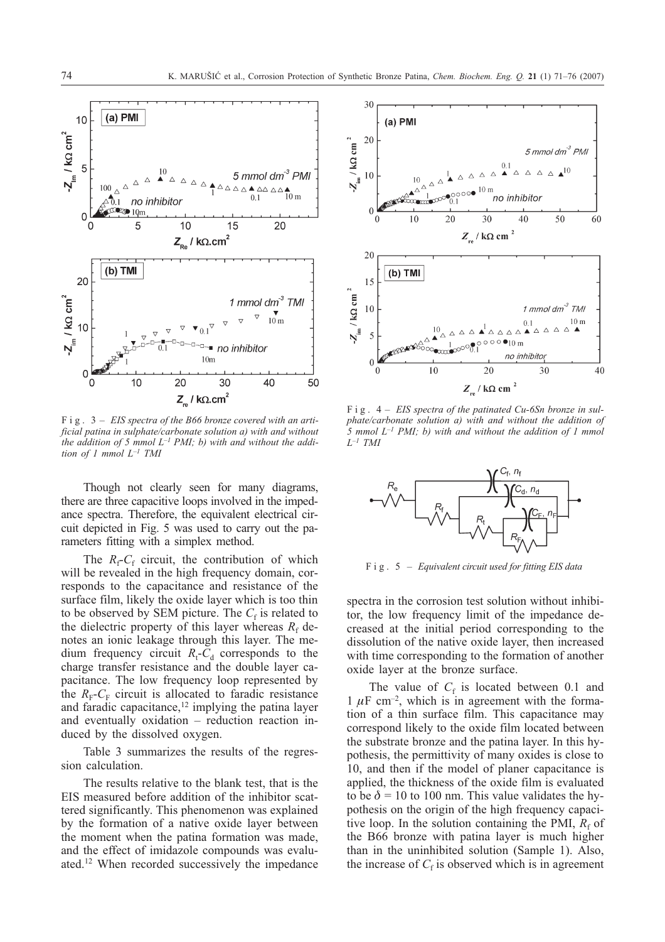

Fig. 3 – *EIS spectra of the B66 bronze covered with an artificial patina in sulphate/carbonate solution a) with and without the addition of 5 mmol L–1 PMI; b) with and without the addition of 1 mmol L–1 TMI*

Though not clearly seen for many diagrams, there are three capacitive loops involved in the impedance spectra. Therefore, the equivalent electrical circuit depicted in Fig. 5 was used to carry out the parameters fitting with a simplex method.

The  $R_f$ - $C_f$  circuit, the contribution of which will be revealed in the high frequency domain, corresponds to the capacitance and resistance of the surface film, likely the oxide layer which is too thin to be observed by SEM picture. The  $C_f$  is related to the dielectric property of this layer whereas  $R_f$  denotes an ionic leakage through this layer. The medium frequency circuit  $R_t$ - $C_d$  corresponds to the charge transfer resistance and the double layer capacitance. The low frequency loop represented by the  $R_F-C_F$  circuit is allocated to faradic resistance and faradic capacitance,<sup>12</sup> implying the patina layer and eventually oxidation – reduction reaction induced by the dissolved oxygen.

Table 3 summarizes the results of the regression calculation.

The results relative to the blank test, that is the EIS measured before addition of the inhibitor scattered significantly. This phenomenon was explained by the formation of a native oxide layer between the moment when the patina formation was made, and the effect of imidazole compounds was evaluated.12 When recorded successively the impedance



Fig. 4 – *EIS spectra of the patinated Cu-6Sn bronze in sulphate/carbonate solution a) with and without the addition of 5 mmol L–1 PMI; b) with and without the addition of 1 mmol L–1 TMI*



Fig. 5 – *Equivalent circuit used for fitting EIS data*

spectra in the corrosion test solution without inhibitor, the low frequency limit of the impedance decreased at the initial period corresponding to the dissolution of the native oxide layer, then increased with time corresponding to the formation of another oxide layer at the bronze surface.

The value of  $C_f$  is located between 0.1 and  $1 \mu$ F cm<sup>-2</sup>, which is in agreement with the formation of a thin surface film. This capacitance may correspond likely to the oxide film located between the substrate bronze and the patina layer. In this hypothesis, the permittivity of many oxides is close to 10, and then if the model of planer capacitance is applied, the thickness of the oxide film is evaluated to be  $\delta$  = 10 to 100 nm. This value validates the hypothesis on the origin of the high frequency capacitive loop. In the solution containing the PMI,  $R_f$  of the B66 bronze with patina layer is much higher than in the uninhibited solution (Sample 1). Also, the increase of  $C_f$  is observed which is in agreement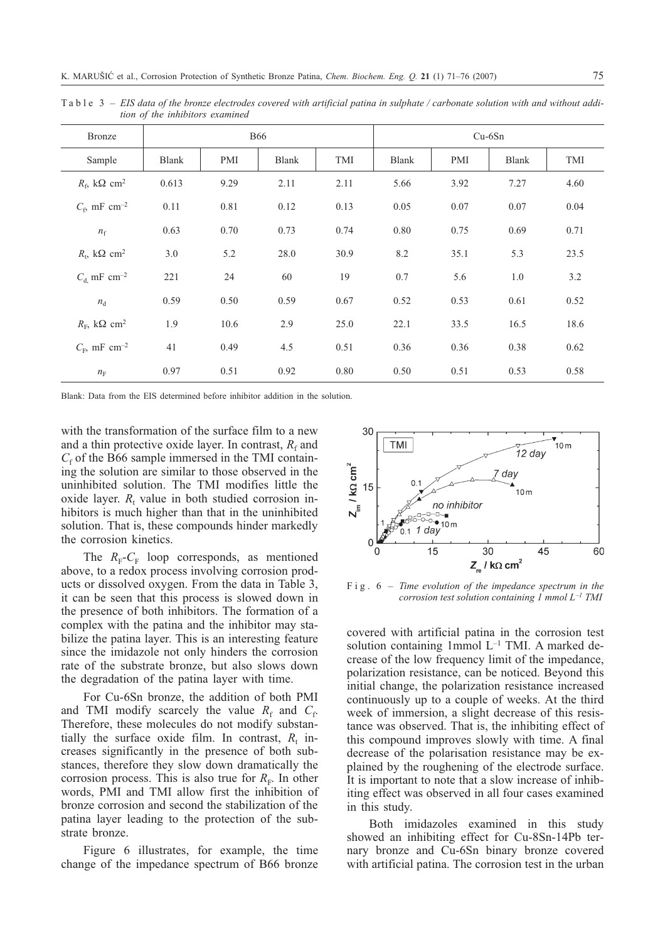Table 3 – *EIS data of the bronze electrodes covered with artificial patina in sulphate / carbonate solution with and without addition of the inhibitors examined*

| Bronze                                   | <b>B66</b>   |      |              | $Cu-6Sn$ |              |      |              |      |
|------------------------------------------|--------------|------|--------------|----------|--------------|------|--------------|------|
| Sample                                   | <b>Blank</b> | PMI  | <b>Blank</b> | TMI      | <b>Blank</b> | PMI  | <b>Blank</b> | TMI  |
| $R_{\rm{f}}$ kΩ cm <sup>2</sup>          | 0.613        | 9.29 | 2.11         | 2.11     | 5.66         | 3.92 | 7.27         | 4.60 |
| $C_{\rm f}$ , mF cm <sup>-2</sup>        | 0.11         | 0.81 | 0.12         | 0.13     | 0.05         | 0.07 | 0.07         | 0.04 |
| $n_f$                                    | 0.63         | 0.70 | 0.73         | 0.74     | 0.80         | 0.75 | 0.69         | 0.71 |
| $R_{\rm t}$ , k $\Omega$ cm <sup>2</sup> | 3.0          | 5.2  | 28.0         | 30.9     | 8.2          | 35.1 | 5.3          | 23.5 |
| $C_{\rm d}$ mF cm <sup>-2</sup>          | 221          | 24   | 60           | 19       | 0.7          | 5.6  | 1.0          | 3.2  |
| $n_{\rm d}$                              | 0.59         | 0.50 | 0.59         | 0.67     | 0.52         | 0.53 | 0.61         | 0.52 |
| $R_{\rm E}$ , k $\Omega$ cm <sup>2</sup> | 1.9          | 10.6 | 2.9          | 25.0     | 22.1         | 33.5 | 16.5         | 18.6 |
| $C_{\rm F}$ , mF cm <sup>-2</sup>        | 41           | 0.49 | 4.5          | 0.51     | 0.36         | 0.36 | 0.38         | 0.62 |
| $n_{\rm F}$                              | 0.97         | 0.51 | 0.92         | 0.80     | 0.50         | 0.51 | 0.53         | 0.58 |

Blank: Data from the EIS determined before inhibitor addition in the solution.

with the transformation of the surface film to a new and a thin protective oxide layer. In contrast,  $R_f$  and  $C_f$  of the B66 sample immersed in the TMI containing the solution are similar to those observed in the uninhibited solution. The TMI modifies little the oxide layer.  $R_t$  value in both studied corrosion inhibitors is much higher than that in the uninhibited solution. That is, these compounds hinder markedly the corrosion kinetics.

The  $R_{\text{F}}$ - $C_{\text{F}}$  loop corresponds, as mentioned above, to a redox process involving corrosion products or dissolved oxygen. From the data in Table 3, it can be seen that this process is slowed down in the presence of both inhibitors. The formation of a complex with the patina and the inhibitor may stabilize the patina layer. This is an interesting feature since the imidazole not only hinders the corrosion rate of the substrate bronze, but also slows down the degradation of the patina layer with time.

For Cu-6Sn bronze, the addition of both PMI and TMI modify scarcely the value  $R_f$  and  $C_f$ . Therefore, these molecules do not modify substantially the surface oxide film. In contrast,  $R_t$  increases significantly in the presence of both substances, therefore they slow down dramatically the corrosion process. This is also true for  $R_F$ . In other words, PMI and TMI allow first the inhibition of bronze corrosion and second the stabilization of the patina layer leading to the protection of the substrate bronze.

Figure 6 illustrates, for example, the time change of the impedance spectrum of B66 bronze



Fig. 6 – *Time evolution of the impedance spectrum in the corrosion test solution containing 1 mmol L–1 TMI*

covered with artificial patina in the corrosion test solution containing 1mmol  $L^{-1}$  TMI. A marked decrease of the low frequency limit of the impedance, polarization resistance, can be noticed. Beyond this initial change, the polarization resistance increased continuously up to a couple of weeks. At the third week of immersion, a slight decrease of this resistance was observed. That is, the inhibiting effect of this compound improves slowly with time. A final decrease of the polarisation resistance may be explained by the roughening of the electrode surface. It is important to note that a slow increase of inhibiting effect was observed in all four cases examined in this study.

Both imidazoles examined in this study showed an inhibiting effect for Cu-8Sn-14Pb ternary bronze and Cu-6Sn binary bronze covered with artificial patina. The corrosion test in the urban